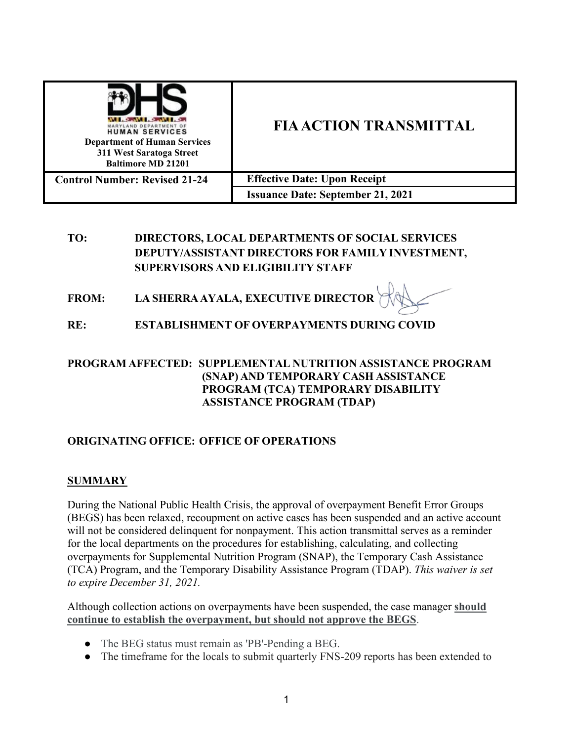| <b>HUMAN SERVICES</b><br><b>Department of Human Services</b><br>311 West Saratoga Street<br><b>Baltimore MD 21201</b> | <b>FIA ACTION TRANSMITTAL</b>            |
|-----------------------------------------------------------------------------------------------------------------------|------------------------------------------|
| <b>Control Number: Revised 21-24</b>                                                                                  | <b>Effective Date: Upon Receipt</b>      |
|                                                                                                                       | <b>Issuance Date: September 21, 2021</b> |

# **TO: DIRECTORS, LOCAL DEPARTMENTS OF SOCIAL SERVICES DEPUTY/ASSISTANT DIRECTORS FOR FAMILY INVESTMENT, SUPERVISORS AND ELIGIBILITY STAFF**

- **FROM: LA SHERRAAYALA, EXECUTIVE DIRECTOR**
- **RE: ESTABLISHMENT OF OVERPAYMENTS DURING COVID**

### **PROGRAM AFFECTED: SUPPLEMENTAL NUTRITION ASSISTANCE PROGRAM (SNAP) AND TEMPORARY CASH ASSISTANCE PROGRAM (TCA) TEMPORARY DISABILITY ASSISTANCE PROGRAM (TDAP)**

## **ORIGINATING OFFICE: OFFICE OF OPERATIONS**

#### **SUMMARY**

During the National Public Health Crisis, the approval of overpayment Benefit Error Groups (BEGS) has been relaxed, recoupment on active cases has been suspended and an active account will not be considered delinquent for nonpayment. This action transmittal serves as a reminder for the local departments on the procedures for establishing, calculating, and collecting overpayments for Supplemental Nutrition Program (SNAP), the Temporary Cash Assistance (TCA) Program, and the Temporary Disability Assistance Program (TDAP). *This waiver is set to expire December 31, 2021.*

Although collection actions on overpayments have been suspended, the case manager **should continue to establish the overpayment, but should not approve the BEGS**.

- The BEG status must remain as 'PB'-Pending a BEG.
- The timeframe for the locals to submit quarterly FNS-209 reports has been extended to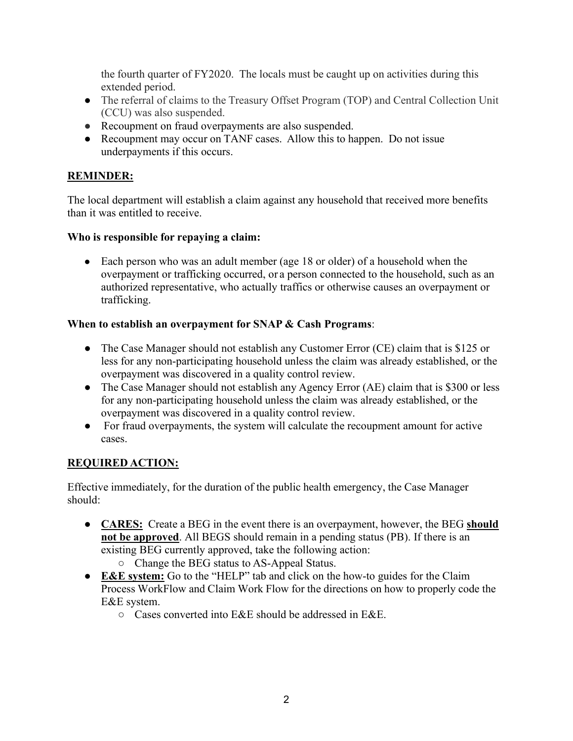the fourth quarter of FY2020. The locals must be caught up on activities during this extended period.

- The referral of claims to the Treasury Offset Program (TOP) and Central Collection Unit (CCU) was also suspended.
- Recoupment on fraud overpayments are also suspended.
- Recoupment may occur on TANF cases. Allow this to happen. Do not issue underpayments if this occurs.

## **REMINDER:**

The local department will establish a claim against any household that received more benefits than it was entitled to receive.

## **Who is responsible for repaying a claim:**

• Each person who was an adult member (age 18 or older) of a household when the overpayment or trafficking occurred, or a person connected to the household, such as an authorized representative, who actually traffics or otherwise causes an overpayment or trafficking.

## **When to establish an overpayment for SNAP & Cash Programs**:

- The Case Manager should not establish any Customer Error (CE) claim that is \$125 or less for any non-participating household unless the claim was already established, or the overpayment was discovered in a quality control review.
- The Case Manager should not establish any Agency Error (AE) claim that is \$300 or less for any non-participating household unless the claim was already established, or the overpayment was discovered in a quality control review.
- For fraud overpayments, the system will calculate the recoupment amount for active cases.

# **REQUIRED ACTION:**

Effective immediately, for the duration of the public health emergency, the Case Manager should:

- **● CARES:** Create a BEG in the event there is an overpayment, however, the BEG **should not be approved**. All BEGS should remain in a pending status (PB). If there is an existing BEG currently approved, take the following action:
	- Change the BEG status to AS-Appeal Status.
- **E&E system:** Go to the "HELP" tab and click on the how-to guides for the Claim Process WorkFlow and Claim Work Flow for the directions on how to properly code the E&E system.
	- Cases converted into E&E should be addressed in E&E.